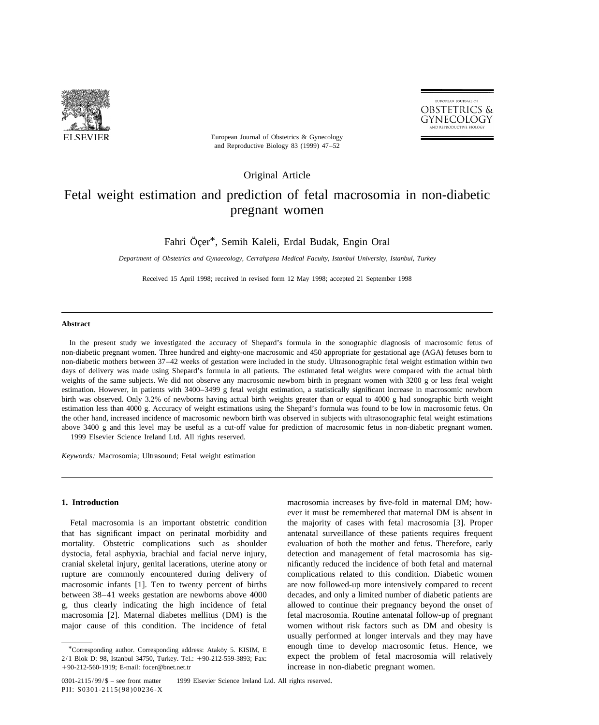



European Journal of Obstetrics & Gynecology and Reproductive Biology 83 (1999) 47–52

Original Article

# Fetal weight estimation and prediction of fetal macrosomia in non-diabetic pregnant women

Fahri Öçer\*, Semih Kaleli, Erdal Budak, Engin Oral

*Department of Obstetrics and Gynaecology*, *Cerrahpasa Medical Faculty*, *Istanbul University*, *Istanbul*, *Turkey*

Received 15 April 1998; received in revised form 12 May 1998; accepted 21 September 1998

## **Abstract**

In the present study we investigated the accuracy of Shepard's formula in the sonographic diagnosis of macrosomic fetus of non-diabetic pregnant women. Three hundred and eighty-one macrosomic and 450 appropriate for gestational age (AGA) fetuses born to non-diabetic mothers between 37–42 weeks of gestation were included in the study. Ultrasonographic fetal weight estimation within two days of delivery was made using Shepard's formula in all patients. The estimated fetal weights were compared with the actual birth weights of the same subjects. We did not observe any macrosomic newborn birth in pregnant women with 3200 g or less fetal weight estimation. However, in patients with 3400–3499 g fetal weight estimation, a statistically significant increase in macrosomic newborn birth was observed. Only 3.2% of newborns having actual birth weights greater than or equal to 4000 g had sonographic birth weight estimation less than 4000 g. Accuracy of weight estimations using the Shepard's formula was found to be low in macrosomic fetus. On the other hand, increased incidence of macrosomic newborn birth was observed in subjects with ultrasonographic fetal weight estimations above 3400 g and this level may be useful as a cut-off value for prediction of macrosomic fetus in non-diabetic pregnant women. 1999 Elsevier Science Ireland Ltd. All rights reserved.

*Keywords*: Macrosomia; Ultrasound; Fetal weight estimation

that has significant impact on perinatal morbidity and antenatal surveillance of these patients requires frequent mortality. Obstetric complications such as shoulder evaluation of both the mother and fetus. Therefore, early dystocia, fetal asphyxia, brachial and facial nerve injury, detection and management of fetal macrosomia has sigcranial skeletal injury, genital lacerations, uterine atony or nificantly reduced the incidence of both fetal and maternal rupture are commonly encountered during delivery of complications related to this condition. Diabetic women macrosomic infants [1]. Ten to twenty percent of births are now followed-up more intensively compared to recent between 38–41 weeks gestation are newborns above 4000 decades, and only a limited number of diabetic patients are g, thus clearly indicating the high incidence of fetal allowed to continue their pregnancy beyond the onset of macrosomia [2]. Maternal diabetes mellitus (DM) is the fetal macrosomia. Routine antenatal follow-up of pregnant major cause of this condition. The incidence of fetal women without risk factors such as DM and obesity is

**1. Introduction 1. Introduction** macrosomia increases by five-fold in maternal DM; however it must be remembered that maternal DM is absent in Fetal macrosomia is an important obstetric condition the majority of cases with fetal macrosomia [3]. Proper usually performed at longer intervals and they may have  $*$  enough time to develop macrosomic fetus. Hence, we enough time to develop macrosomic fetus. Hence, we

<sup>2/1</sup> Blok D: 98, Istanbul 34750, Turkey. Tel.: <sup>1</sup>90-212-559-3893; Fax: expect the problem of fetal macrosomia will relatively 190-212-560-1919; E-mail: focer@bnet.net.tr increase in non-diabetic pregnant women.

<sup>0301-2115/99/\$ -</sup> see front matter © 1999 Elsevier Science Ireland Ltd. All rights reserved. PII: S0301-2115(98)00236-X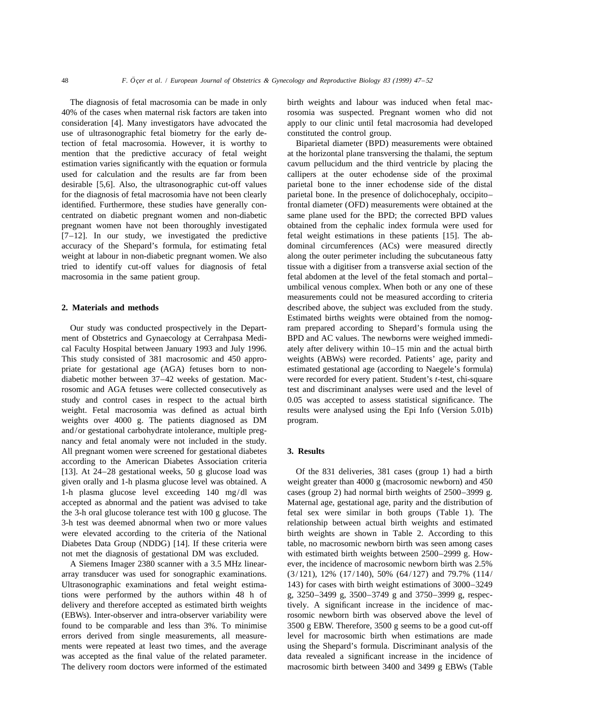The diagnosis of fetal macrosomia can be made in only birth weights and labour was induced when fetal macuse of ultrasonographic fetal biometry for the early de- constituted the control group. tection of fetal macrosomia. However, it is worthy to Biparietal diameter (BPD) measurements were obtained used for calculation and the results are far from been callipers at the outer echodense side of the proximal desirable [5,6]. Also, the ultrasonographic cut-off values parietal bone to the inner echodense side of the distal for the diagnosis of fetal macrosomia have not been clearly parietal bone. In the presence of dolichocephaly, occipito– [7–12]. In our study, we investigated the predictive fetal weight estimations in these patients [15]. The abaccuracy of the Shepard's formula, for estimating fetal dominal circumferences (ACs) were measured directly weight at labour in non-diabetic pregnant women. We also along the outer perimeter including the subcutaneous fatty macrosomia in the same patient group. fetal abdomen at the level of the fetal stomach and portal–

weights over 4000 g. The patients diagnosed as DM program. and/or gestational carbohydrate intolerance, multiple pregnancy and fetal anomaly were not included in the study. All pregnant women were screened for gestational diabetes **3. Results** according to the American Diabetes Association criteria [13]. At 24–28 gestational weeks, 50 g glucose load was Of the 831 deliveries, 381 cases (group 1) had a birth given orally and 1-h plasma glucose level was obtained. A weight greater than 4000 g (macrosomic newborn) and 450 1-h plasma glucose level exceeding 140 mg/dl was cases (group 2) had normal birth weights of 2500–3999 g. accepted as abnormal and the patient was advised to take Maternal age, gestational age, parity and the distribution of the 3-h oral glucose tolerance test with 100 g glucose. The fetal sex were similar in both groups (Table 1). The 3-h test was deemed abnormal when two or more values relationship between actual birth weights and estimated were elevated according to the criteria of the National birth weights are shown in Table 2. According to this Diabetes Data Group (NDDG) [14]. If these criteria were table, no macrosomic newborn birth was seen among cases not met the diagnosis of gestational DM was excluded. with estimated birth weights between 2500–2999 g. How-

array transducer was used for sonographic examinations.  $(3/121)$ ,  $12\%$   $(17/140)$ ,  $50\%$   $(64/127)$  and  $79.7\%$   $(114/120)$ Ultrasonographic examinations and fetal weight estima- 143) for cases with birth weight estimations of 3000–3249 tions were performed by the authors within 48 h of g,  $3250-3499$  g,  $3500-3749$  g and  $3750-3999$  g, respecdelivery and therefore accepted as estimated birth weights tively. A significant increase in the incidence of mac-(EBWs). Inter-observer and intra-observer variability were rosomic newborn birth was observed above the level of found to be comparable and less than 3%. To minimise 3500 g EBW. Therefore, 3500 g seems to be a good cut-off errors derived from single measurements, all measure- level for macrosomic birth when estimations are made ments were repeated at least two times, and the average using the Shepard's formula. Discriminant analysis of the was accepted as the final value of the related parameter. data revealed a significant increase in the incidence of

40% of the cases when maternal risk factors are taken into rosomia was suspected. Pregnant women who did not consideration [4]. Many investigators have advocated the apply to our clinic until fetal macrosomia had developed

mention that the predictive accuracy of fetal weight at the horizontal plane transversing the thalami, the septum estimation varies significantly with the equation or formula cavum pellucidum and the third ventricle by placing the identified. Furthermore, these studies have generally con- frontal diameter (OFD) measurements were obtained at the centrated on diabetic pregnant women and non-diabetic same plane used for the BPD; the corrected BPD values pregnant women have not been thoroughly investigated obtained from the cephalic index formula were used for tried to identify cut-off values for diagnosis of fetal tissue with a digitiser from a transverse axial section of the umbilical venous complex. When both or any one of these measurements could not be measured according to criteria **2. Materials and methods** described above, the subject was excluded from the study. Estimated births weights were obtained from the nomog-Our study was conducted prospectively in the Depart- ram prepared according to Shepard's formula using the ment of Obstetrics and Gynaecology at Cerrahpasa Medi- BPD and AC values. The newborns were weighed immedical Faculty Hospital between January 1993 and July 1996. ately after delivery within 10–15 min and the actual birth This study consisted of 381 macrosomic and 450 appro- weights (ABWs) were recorded. Patients' age, parity and priate for gestational age (AGA) fetuses born to non- estimated gestational age (according to Naegele's formula) diabetic mother between 37–42 weeks of gestation. Mac- were recorded for every patient. Student's *t*-test, chi-square rosomic and AGA fetuses were collected consecutively as test and discriminant analyses were used and the level of study and control cases in respect to the actual birth 0.05 was accepted to assess statistical significance. The weight. Fetal macrosomia was defined as actual birth results were analysed using the Epi Info (Version 5.01b)

A Siemens Imager 2380 scanner with a 3.5 MHz linear- ever, the incidence of macrosomic newborn birth was 2.5% The delivery room doctors were informed of the estimated macrosomic birth between 3400 and 3499 g EBWs (Table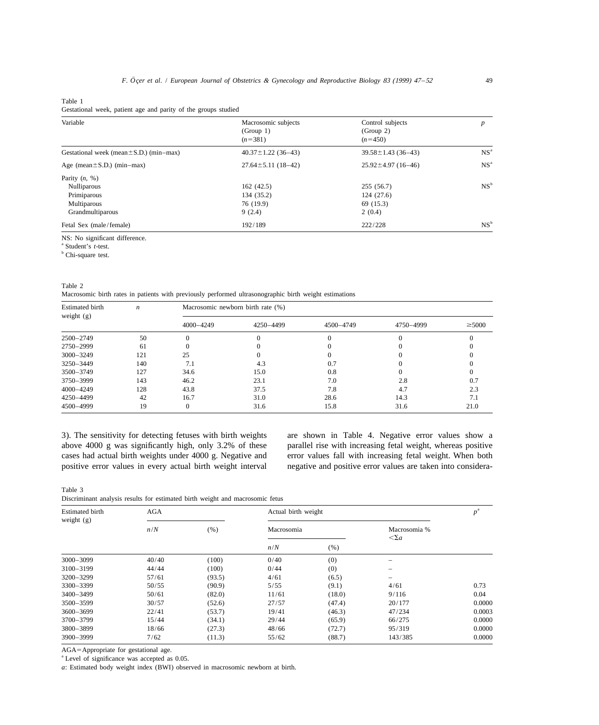Table 1

Gestational week, patient age and parity of the groups studied

| Variable                                     | Macrosomic subjects<br>(Group 1)<br>$(n=381)$ | Control subjects<br>(Group 2)<br>$(n=450)$ | p               |
|----------------------------------------------|-----------------------------------------------|--------------------------------------------|-----------------|
| Gestational week (mean $\pm$ S.D.) (min–max) | $40.37 \pm 1.22$ (36-43)                      | $39.58 \pm 1.43$ (36-43)                   | NS <sup>a</sup> |
| Age (mean $\pm$ S.D.) (min-max)              | $27.64 \pm 5.11(18 - 42)$                     | $25.92 \pm 4.97$ (16-46)                   | NS <sup>a</sup> |
| Parity $(n, %)$                              |                                               |                                            |                 |
| <b>Nulliparous</b>                           | 162(42.5)                                     | 255 (56.7)                                 | NS <sup>b</sup> |
| Primiparous                                  | 134 (35.2)                                    | 124 (27.6)                                 |                 |
| Multiparous                                  | 76 (19.9)                                     | 69 (15.3)                                  |                 |
| Grandmultiparous                             | 9(2.4)                                        | 2(0.4)                                     |                 |
| Fetal Sex (male/female)                      | 192/189                                       | 222/228                                    | NS <sup>b</sup> |
|                                              |                                               |                                            |                 |

NS: No significant difference.

a Student's *t*-test.

<sup>b</sup> Chi-square test.

Table 2

Macrosomic birth rates in patients with previously performed ultrasonographic birth weight estimations

| <b>Estimated birth</b><br>weight $(g)$ | $\boldsymbol{n}$ | Macrosomic newborn birth rate (%) |           |           |           |             |  |
|----------------------------------------|------------------|-----------------------------------|-----------|-----------|-----------|-------------|--|
|                                        |                  | 4000-4249                         | 4250-4499 | 4500-4749 | 4750-4999 | $\geq 5000$ |  |
| 2500-2749                              | 50               |                                   |           |           |           |             |  |
| 2750-2999                              | 61               |                                   |           |           |           |             |  |
| $3000 - 3249$                          | 121              | 25                                |           |           |           |             |  |
| 3250-3449                              | 140              | 7.1                               | 4.3       | 0.7       |           |             |  |
| 3500-3749                              | 127              | 34.6                              | 15.0      | 0.8       |           |             |  |
| 3750-3999                              | 143              | 46.2                              | 23.1      | 7.0       | 2.8       | 0.7         |  |
| $4000 - 4249$                          | 128              | 43.8                              | 37.5      | 7.8       | 4.7       | 2.3         |  |
| 4250-4499                              | 42               | 16.7                              | 31.0      | 28.6      | 14.3      | 7.1         |  |
| 4500-4999                              | 19               | 0                                 | 31.6      | 15.8      | 31.6      | 21.0        |  |

3). The sensitivity for detecting fetuses with birth weights are shown in Table 4. Negative error values show a above 4000 g was significantly high, only 3.2% of these parallel rise with increasing fetal weight, whereas positive cases had actual birth weights under 4000 g. Negative and error values fall with increasing fetal weight. When both

positive error values in every actual birth weight interval negative and positive error values are taken into considera-

Table 3 Discriminant analysis results for estimated birth weight and macrosomic fetus

| <b>Estimated birth</b><br>weight $(g)$ | <b>AGA</b> |        | Actual birth weight |        |                                    | $p^{\mathrm{a}}$ |
|----------------------------------------|------------|--------|---------------------|--------|------------------------------------|------------------|
|                                        | n/N        | (% )   | Macrosomia          |        | Macrosomia %<br>$\langle \Sigma a$ |                  |
|                                        |            |        | n/N                 | (% )   |                                    |                  |
| $3000 - 3099$                          | 40/40      | (100)  | 0/40                | (0)    |                                    |                  |
| 3100-3199                              | 44/44      | (100)  | 0/44                | (0)    | $\overline{\phantom{0}}$           |                  |
| 3200-3299                              | 57/61      | (93.5) | 4/61                | (6.5)  |                                    |                  |
| 3300-3399                              | 50/55      | (90.9) | 5/55                | (9.1)  | 4/61                               | 0.73             |
| 3400-3499                              | 50/61      | (82.0) | 11/61               | (18.0) | 9/116                              | 0.04             |
| 3500-3599                              | 30/57      | (52.6) | 27/57               | (47.4) | 20/177                             | 0.0000           |
| $3600 - 3699$                          | 22/41      | (53.7) | 19/41               | (46.3) | 47/234                             | 0.0003           |
| 3700-3799                              | 15/44      | (34.1) | 29/44               | (65.9) | 66/275                             | 0.0000           |
| 3800-3899                              | 18/66      | (27.3) | 48/66               | (72.7) | 95/319                             | 0.0000           |
| 3900-3999                              | 7/62       | (11.3) | 55/62               | (88.7) | 143/385                            | 0.0000           |

AGA=Appropriate for gestational age.

<sup>a</sup> Level of significance was accepted as 0.05.

*a*: Estimated body weight index (BWI) observed in macrosomic newborn at birth.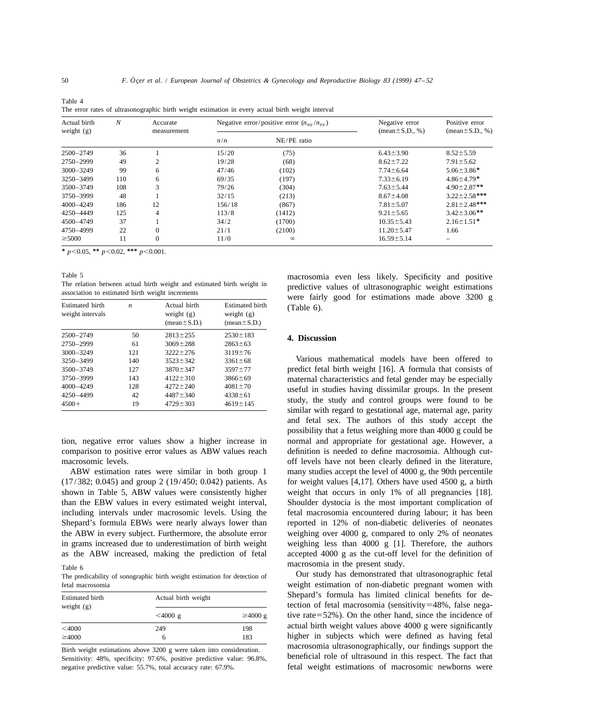Table 4 The error rates of ultrasonographic birth weight estimation in every actual birth weight interval

| Actual birth<br>weight $(g)$ | $\boldsymbol{N}$ | Accurate<br>measurement | Negative error/positive error $(n_{\text{NE}}/n_{\text{PE}})$ |             | Negative error<br>$(\text{mean} \pm S.D., \%)$ | Positive error<br>(mean $\pm$ S.D., %) |
|------------------------------|------------------|-------------------------|---------------------------------------------------------------|-------------|------------------------------------------------|----------------------------------------|
|                              |                  |                         | n/n                                                           | NE/PE ratio |                                                |                                        |
| 2500-2749                    | 36               |                         | 15/20                                                         | (75)        | $6.43 \pm 3.90$                                | $8.52 \pm 5.59$                        |
| 2750-2999                    | 49               | $\overline{c}$          | 19/28                                                         | (68)        | $8.62 \pm 7.22$                                | $7.91 \pm 5.62$                        |
| $3000 - 3249$                | 99               | 6                       | 47/46                                                         | (102)       | $7.74 \pm 6.64$                                | $5.06 \pm 3.86*$                       |
| 3250-3499                    | 110              | 6                       | 69/35                                                         | (197)       | $7.33 \pm 6.19$                                | $4.86 \pm 4.79*$                       |
| 3500-3749                    | 108              | 3                       | 79/26                                                         | (304)       | $7.63 \pm 5.44$                                | $4.90 \pm 2.87**$                      |
| 3750-3999                    | 48               |                         | 32/15                                                         | (213)       | $8.67 \pm 4.08$                                | $3.22 \pm 2.58$ ***                    |
| $4000 - 4249$                | 186              | 12                      | 156/18                                                        | (867)       | $7.81 \pm 5.07$                                | $2.81 \pm 2.48$ ***                    |
| 4250-4449                    | 125              | $\overline{4}$          | 113/8                                                         | (1412)      | $9.21 \pm 5.65$                                | $3.42 \pm 3.06$ **                     |
| 4500-4749                    | 37               |                         | 34/2                                                          | (1700)      | $10.35 \pm 5.43$                               | $2.16 \pm 1.51^*$                      |
| 4750-4999                    | 22               | $\theta$                | 21/1                                                          | (2100)      | $11.20 \pm 5.47$                               | 1.66                                   |
| $\geq 5000$                  | 11               | $\theta$                | 11/0                                                          | $\infty$    | $16.59 \pm 5.14$                               |                                        |

*\**  $p$ <0.05, \*\*  $p$ <0.02, \*\*\*  $p$ <0.001.

| <b>Estimated birth</b><br>weight intervals | n   | Actual birth<br>weight $(g)$<br>$mean \pm S.D.)$ | <b>Estimated birth</b><br>weight $(g)$<br>$mean \pm S.D.)$ | WEIE TAIL<br>$(Table 6)$ .  |
|--------------------------------------------|-----|--------------------------------------------------|------------------------------------------------------------|-----------------------------|
| 2500-2749                                  | 50  | $2813 \pm 255$                                   | $2530 \pm 183$                                             | 4. Discuss                  |
| 2750-2999                                  | 61  | $3069 \pm 288$                                   | $2863 \pm 63$                                              |                             |
| $3000 - 3249$                              | 121 | $3222 \pm 276$                                   | $3119 \pm 76$                                              |                             |
| 3250-3499                                  | 140 | $3523 \pm 342$                                   | $3361 \pm 68$                                              | Various                     |
| 3500-3749                                  | 127 | $3870 \pm 347$                                   | $3597 \pm 77$                                              | predict fet                 |
| 3750-3999                                  | 143 | $4122 \pm 310$                                   | $3866 \pm 69$                                              | maternal c                  |
| 4000-4249                                  | 128 | $4272 \pm 240$                                   | $4081 \pm 70$                                              | useful in                   |
| 4250-4499                                  | 42  | $4487 \pm 340$                                   | $4338 \pm 61$                                              |                             |
| $4500+$                                    | 19  | $4729 \pm 303$                                   | $4619 \pm 145$                                             | the<br>study,<br>cimilar wi |

The predicability of sonographic birth weight estimation for detection of

| Estimated birth<br>weight $(g)$ | Actual birth weight |               |  |
|---------------------------------|---------------------|---------------|--|
|                                 | $<$ 4000 g          | $\geq 4000$ g |  |
| $<$ 4000                        | 249                 | 198           |  |
| $\geq 4000$                     | h                   | 183           |  |

Sensitivity: 48%, specificity: 97.6%, positive predictive value: 96.8%,

Table 5<br>The relation between actual birth weight and estimated birth weight in<br>
macrosomia even less likely. Specificity and positive<br>
macrosomia even less likely. Specificity and positive<br>
macrosomia even less likely. Spe The relation between actual birth weight and estimated birth weight in<br>association to estimated birth weight increments<br>were fairly good for estimations made above 3200 g

### 2500–2749 50 28136255 25306<sup>183</sup> **4. Discussion**

Various mathematical models have been offered to predict fetal birth weight [16]. A formula that consists of maternal characteristics and fetal gender may be especially useful in studies having dissimilar groups. In the present study, the study and control groups were found to be similar with regard to gestational age, maternal age, parity and fetal sex. The authors of this study accept the possibility that a fetus weighing more than 4000 g could be tion, negative error values show a higher increase in normal and appropriate for gestational age. However, a comparison to positive error values as ABW values reach definition is needed to define macrosomia. Although cutmacrosomic levels.  $\qquad \qquad$  off levels have not been clearly defined in the literature, ABW estimation rates were similar in both group 1 many studies accept the level of 4000 g, the 90th percentile  $(17/382; 0.045)$  and group 2  $(19/450; 0.042)$  patients. As for weight values [4,17]. Others have used 4500 g, a birth shown in Table 5, ABW values were consistently higher weight that occurs in only 1% of all pregnancies [18]. than the EBW values in every estimated weight interval, Shoulder dystocia is the most important complication of including intervals under macrosomic levels. Using the fetal macrosomia encountered during labour; it has been Shepard's formula EBWs were nearly always lower than reported in 12% of non-diabetic deliveries of neonates the ABW in every subject. Furthermore, the absolute error weighing over 4000 g, compared to only 2% of neonates in grams increased due to underestimation of birth weight weighing less than 4000 g  $[1]$ . Therefore, the authors as the ABW increased, making the prediction of fetal accepted 4000 g as the cut-off level for the definition of

Table 6<br>The present study.<br>The predicability of sonographic birth weight estimation for detection of **Our study has demonstrated that ultrasonographic fetal** fetal macrosomia weight estimation of non-diabetic pregnant women with Shepard's formula has limited clinical benefits for detection of fetal macrosomia (sensitivity=48%, false negative rate= $52\%$ ). On the other hand, since the incidence of actual birth weight values above  $4000$  g were significantly higher in subjects which were defined as having fetal **The Exercity of the Birth weight estimations above 3200 g were taken into consideration.** The macrosomia ultrasonographically, our findings support the Sensitivity: 48% specificity: 97.6% positive predictive value: 96.8% negative predictive value: 55.7%, total accuracy rate: 67.9%. fetal weight estimations of macrosomic newborns were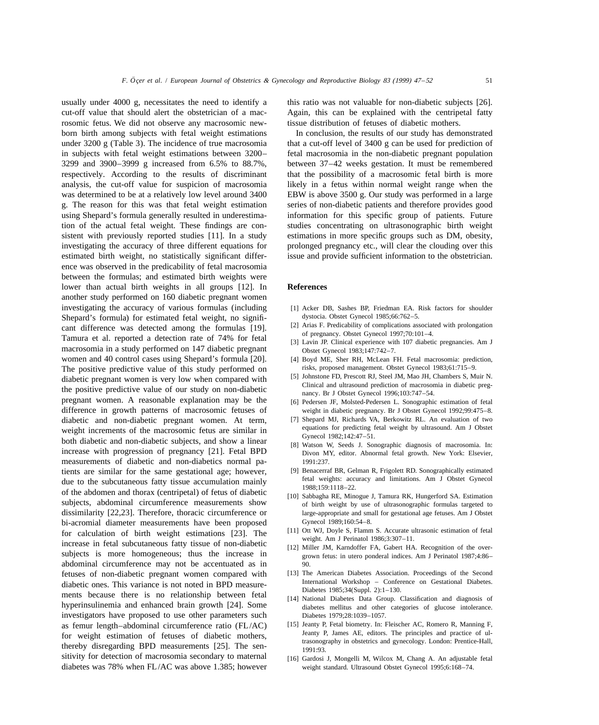usually under 4000 g, necessitates the need to identify a this ratio was not valuable for non-diabetic subjects [26]. cut-off value that should alert the obstetrician of a mac- Again, this can be explained with the centripetal fatty rosomic fetus. We did not observe any macrosomic new- tissue distribution of fetuses of diabetic mothers. born birth among subjects with fetal weight estimations In conclusion, the results of our study has demonstrated under 3200 g (Table 3). The incidence of true macrosomia that a cut-off level of 3400 g can be used for prediction of in subjects with fetal weight estimations between 3200– fetal macrosomia in the non-diabetic pregnant population 3299 and 3900–3999 g increased from 6.5% to 88.7%, between 37–42 weeks gestation. It must be remembered respectively. According to the results of discriminant that the possibility of a macrosomic fetal birth is more analysis, the cut-off value for suspicion of macrosomia likely in a fetus within normal weight range when the was determined to be at a relatively low level around 3400 EBW is above 3500 g. Our study was performed in a large g. The reason for this was that fetal weight estimation series of non-diabetic patients and therefore provides good using Shepard's formula generally resulted in underestima- information for this specific group of patients. Future tion of the actual fetal weight. These findings are con- studies concentrating on ultrasonographic birth weight sistent with previously reported studies [11]. In a study estimations in more specific groups such as DM, obesity, investigating the accuracy of three different equations for prolonged pregnancy etc., will clear the clouding over this estimated birth weight, no statistically significant differ- issue and provide sufficient information to the obstetrician. ence was observed in the predicability of fetal macrosomia between the formulas; and estimated birth weights were lower than actual birth weights in all groups [12]. In **References** another study performed on 160 diabetic pregnant women investigating the accuracy of various formulas (including [1] Acker DB, Sashes BP, Friedman EA. Risk factors for shoulder Shepard's formula) for estimated fetal weight, no signifi-<br>
(2) Arias F. Predicability of complications associated with prolongation<br>
(2) Arias F. Predicability of complications associated with prolongation cant difference was detected among the formulas [19]. [2] Arias F. Predicability of complications associated with prolongation<br>Tamura et al. reported a detection rate of 74% for fetal [3] Lavin JP. Clinical experience wit macrosomia in a study performed on 147 diabetic pregnant Obstet Gynecol 1983;147:742-7. women and 40 control cases using Shepard's formula [20]. [4] Boyd ME, Sher RH, McLean FH. Fetal macrosomia: prediction, The positive predictive value of this study performed on risks, proposed management. Obstet Gynecol 1983;61:715–9.<br>
diabetic pregnant women is very low when compared with [5] Johnstone FD, Prescott RJ, Steel JM, Mao JH, Ch diabetic pregnant women is very low when compared with<br>the positive predictive value of our study on non-diabetic<br>the positive predictive value of our study on non-diabetic<br>nancy. Br J Obstet Gynecol 1996;103:747–54. pregnant women. A reasonable explanation may be the [6] Pedersen JF, Molsted-Pedersen L. Sonographic estimation of fetal difference in growth patterns of macrosomic fetuses of weight in diabetic pregnancy. Br J Obstet Gynecol 1992;99:475–8. diabetic and non-diabetic pregnant women. At term, [7] Shepard MJ, Richards VA, Berkowitz RL. An evaluation of two<br>weight increments of the macrosomic fetus are similar in weight increments of the macrosomic fetus are similar in<br>both diabetic and non-diabetic subjects, and show a linear<br>[8] Watson W, Seeds J. Sonographic diagnosis of macrosomia. In: increase with progression of pregnancy [21]. Fetal BPD Divon MY, editor. Abnormal fetal growth. New York: Elsevier, measurements of diabetic and non-diabetics normal pa-<br>
tients are similar for the same gestational age: however [9] Benacerraf BR, Gelman R, Frigolett RD. Sonographically estimated tients are similar for the same gestational age; however, [9] Benacerraf BR, Gelman R, Frigolett RD. Sonographically estimated<br>
fetal weights: accuracy and limitations. Am J Obstet Gynecol due to the subcutaneous fatty tissue accumulation mainly<br>of the abdomen and thorax (centripetal) of fetus of diabetic<br>[10] Sabbagha RE, Minogue J, Tamura RK, Hungerford SA. Estimation subjects, abdominal circumference measurements show of birth weight by use of ultrasonographic formulas targeted to dissimilarity [22,23]. Therefore, thoracic circumference or large-appropriate and small for gestational age fetuses. Am J Obstet bi-acromial diameter measurements have been proposed<br>
for ealer leads of high unicht estimations [22] The [11] Ott WJ, Doyle S, Flamm S. Accurate ultrasonic estimation of fetal for calculation of birth weight estimations [23]. The [11] Ott WJ, Doyle S, Flamm S. Accurate ultrasonic estimation of tetal<br>increase in fetal subcutaneous fatty tissue of non-diabetic [12] Miller JM, Karndoffer FA, Gabert subjects is more homogeneous; thus the increase in grown fetus: in utero ponderal indices. Am J Perinatol 1987;4:86– abdominal circumference may not be accentuated as in 90. fetuses of non-diabetic pregnant women compared with [13] The American Diabetes Association. Proceedings of the Second diabetic ones. This variance is not noted in BPD measure-<br>Diabetes 1985;34(Suppl. 2):1-130. ments because there is no relationship between fetal [14] National Diabetes Data Group. Classification and diagnosis of hyperinsulinemia and enhanced brain growth [24]. Some diabetes mellitus and other categories of glucose intolerance. investigators have proposed to use other parameters such Diabetes 1979;28:1039–1057. as femur length–abdominal circumference ratio (FL/AC) [15] Jeanty P, Fetal biometry. In: Fleischer AC, Romero R, Manning F, for weight estimation of fetuses of diabatic mothers Jeanty P, James AE, editors. The principles a for weight estimation of fetuses of diabetic mothers,<br>thereby disregarding BPD measurements [25]. The sen-<br>1991:93. sitivity for detection of macrosomia secondary to maternal [16] Gardosi J, Mongelli M, Wilcox M, Chang A. An adjustable fetal diabetes was 78% when FL/AC was above 1.385; however weight standard. Ultrasound Obstet Gynecol 1995;6:168–74.

- 
- 
- 
- 
- 
- 
- 
- 
- 
- 
- 
- 
- 
- 
- 
-